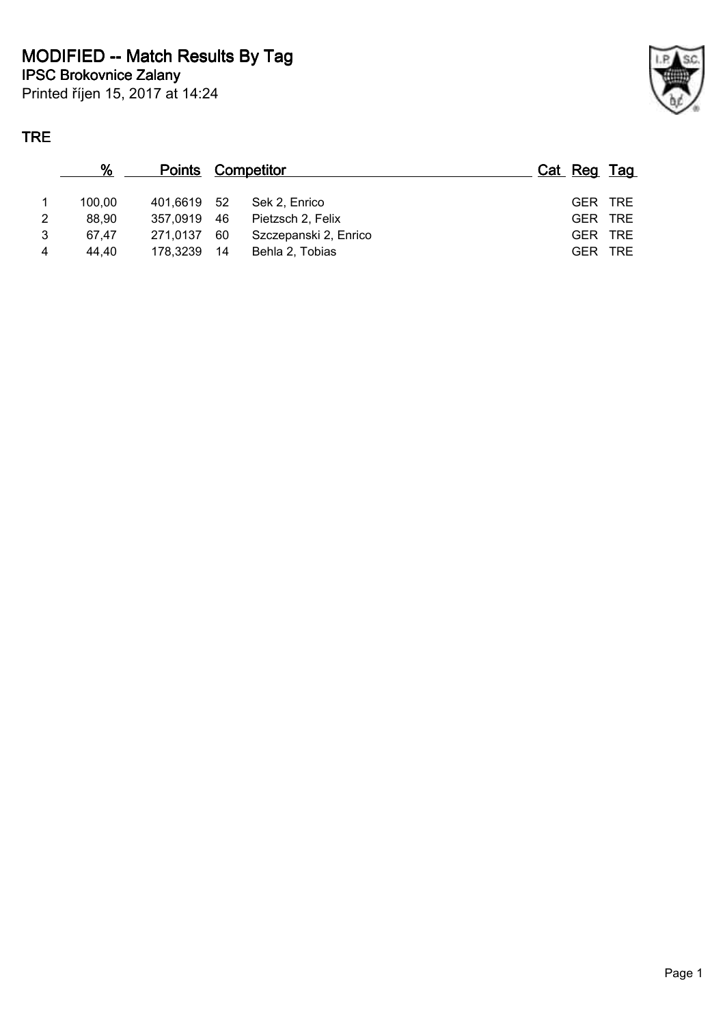Printed říjen 15, 2017 at 14:24

## **TRE**

|   | %      | <b>Points Competitor</b> |    |                       | Cat Reg Tag |         |
|---|--------|--------------------------|----|-----------------------|-------------|---------|
|   | 100.00 | 401.6619 52              |    | Sek 2, Enrico         |             | GER TRE |
| 2 | 88,90  | 357.0919 46              |    | Pietzsch 2. Felix     |             | GER TRE |
| 3 | 67.47  | 271.0137                 | 60 | Szczepanski 2, Enrico |             | GER TRE |
| 4 | 44,40  | 178.3239 14              |    | Behla 2. Tobias       | <b>GER</b>  | TRE     |
|   |        |                          |    |                       |             |         |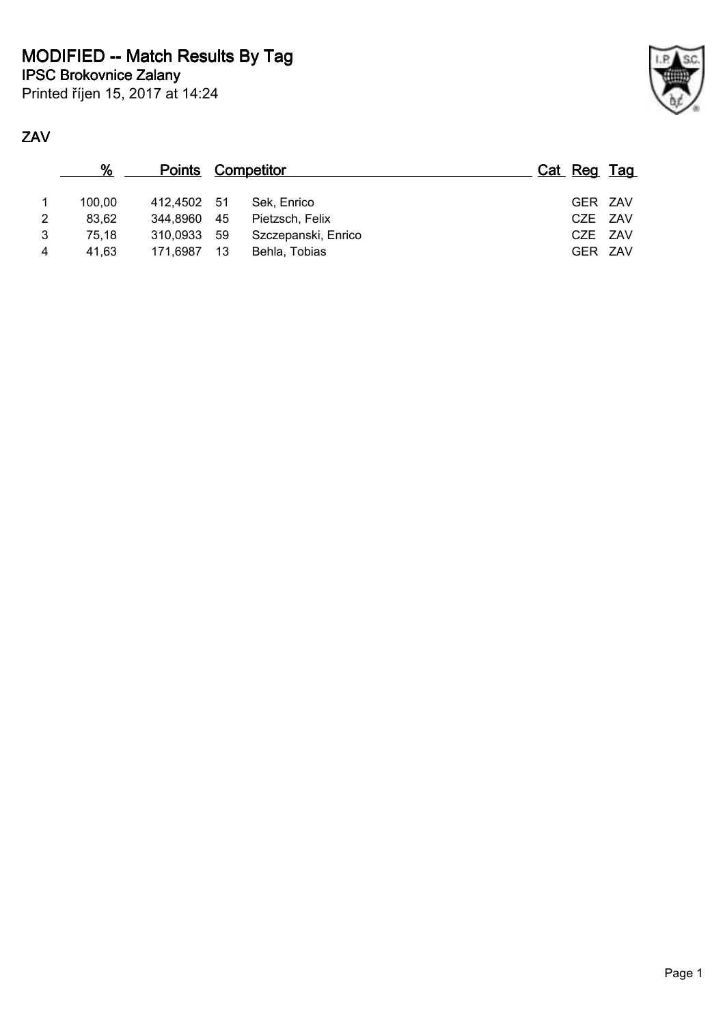

| %      |      |                                                       |                          |             |
|--------|------|-------------------------------------------------------|--------------------------|-------------|
| 100.00 |      | Sek. Enrico                                           |                          | GER ZAV     |
| 83,62  |      | Pietzsch, Felix                                       |                          | CZE ZAV     |
| 75.18  |      | Szczepanski, Enrico                                   |                          | CZE ZAV     |
| 41.63  | - 13 | Behla, Tobias                                         |                          | GER ZAV     |
|        |      | 412.4502 51<br>344,8960 45<br>310.0933 59<br>171.6987 | <b>Points Competitor</b> | Cat Reg Tag |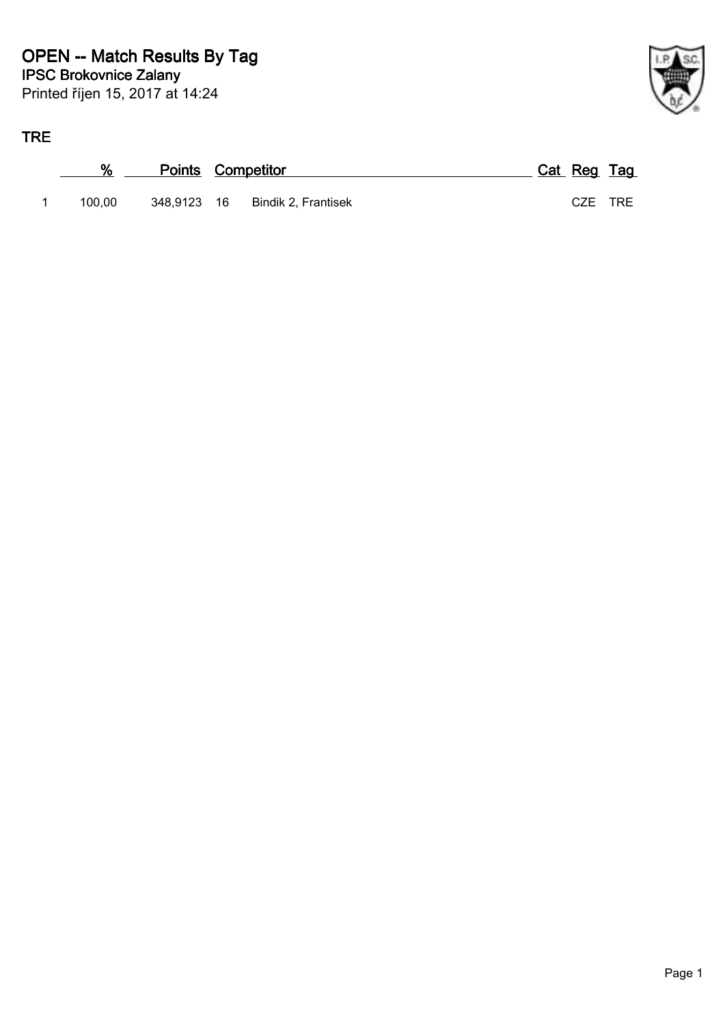



| %      | <b>Points Competitor</b> |                                 | Cat Reg Tag |  |
|--------|--------------------------|---------------------------------|-------------|--|
| 100.00 |                          | 348,9123 16 Bindik 2, Frantisek | CZE TRE     |  |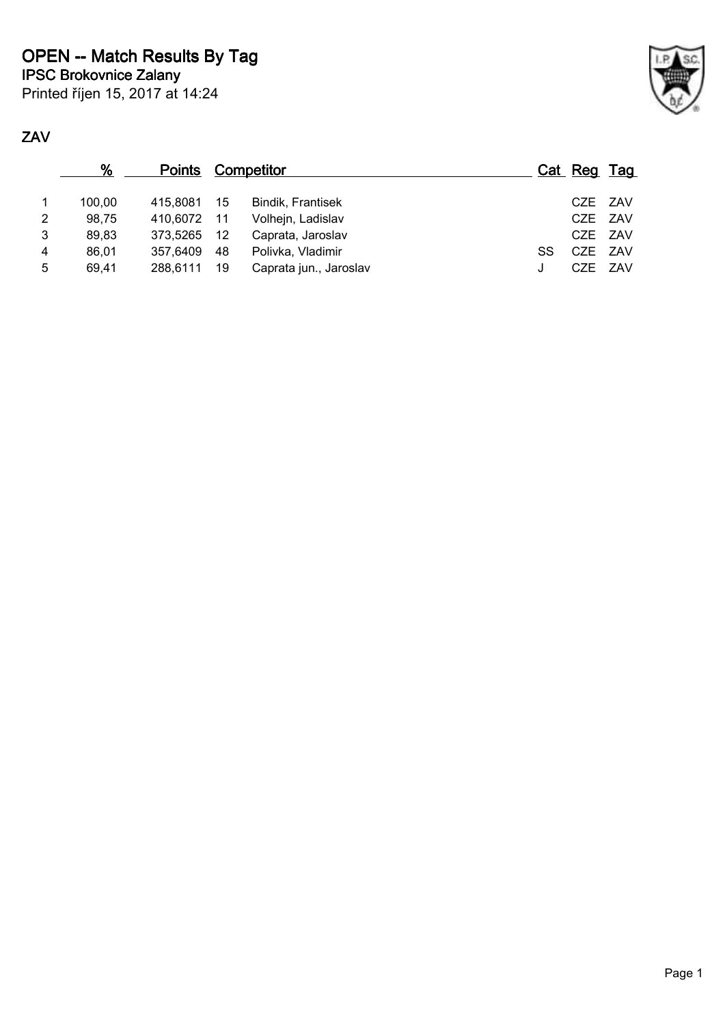Printed říjen 15, 2017 at 14:24

|                | %      | <b>Points Competitor</b> |    |                          |    | Cat Reg Tag |  |
|----------------|--------|--------------------------|----|--------------------------|----|-------------|--|
| $\mathbf 1$    | 100.00 | 415.8081 15              |    | <b>Bindik, Frantisek</b> |    | CZE ZAV     |  |
| 2 <sup>1</sup> | 98,75  | 410,6072 11              |    | Volhejn, Ladislav        |    | CZE ZAV     |  |
| 3              | 89,83  | 373,5265 12              |    | Caprata, Jaroslav        |    | CZE ZAV     |  |
| 4              | 86.01  | 357.6409                 | 48 | Polivka, Vladimir        | SS | CZE ZAV     |  |
| 5              | 69.41  | 288.6111                 | 19 | Caprata jun., Jaroslav   | J  | CZE ZAV     |  |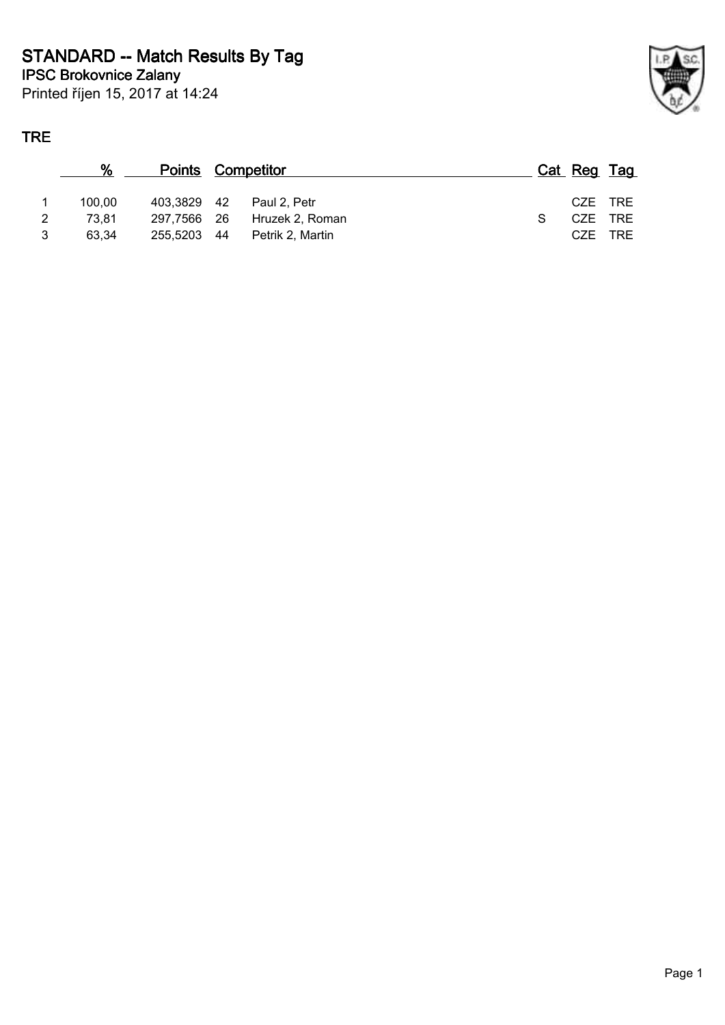Printed říjen 15, 2017 at 14:24

## **TRE**

| %      | <b>Points Competitor</b> |                  | Cat Reg Tag |  |
|--------|--------------------------|------------------|-------------|--|
| 100.00 | 403.3829 42              | Paul 2. Petr     | CZE TRE     |  |
| 73.81  | 297.7566 26              | Hruzek 2, Roman  | CZE TRE     |  |
| 63.34  | 255.5203 44              | Petrik 2, Martin | CZE TRE     |  |
|        |                          |                  |             |  |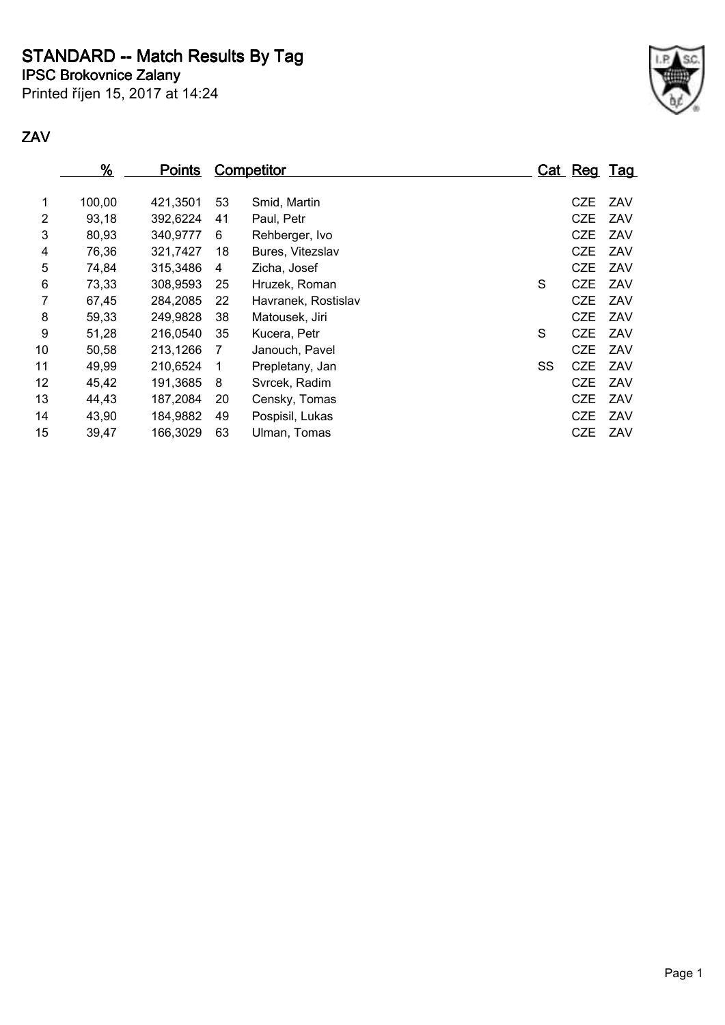**STANDARD -- Match Results By Tag**

**IPSC Brokovnice Zalany**

Printed říjen 15, 2017 at 14:24



|    | %      | <b>Points</b> |    | <b>Competitor</b>   |    | <u>Cat Reg Tag</u> |     |
|----|--------|---------------|----|---------------------|----|--------------------|-----|
| 1  | 100,00 | 421.3501      | 53 | Smid, Martin        |    | <b>CZE</b>         | ZAV |
| 2  | 93,18  | 392,6224      | 41 | Paul, Petr          |    | <b>CZE</b>         | ZAV |
| 3  | 80,93  | 340,9777      | 6  | Rehberger, Ivo      |    | <b>CZE</b>         | ZAV |
| 4  | 76,36  | 321,7427      | 18 | Bures, Vitezslav    |    | <b>CZE</b>         | ZAV |
| 5  | 74,84  | 315,3486      | 4  | Zicha, Josef        |    | <b>CZE</b>         | ZAV |
| 6  | 73,33  | 308,9593      | 25 | Hruzek, Roman       | S  | <b>CZE</b>         | ZAV |
| 7  | 67,45  | 284,2085      | 22 | Havranek, Rostislav |    | <b>CZE</b>         | ZAV |
| 8  | 59,33  | 249,9828      | 38 | Matousek, Jiri      |    | <b>CZE</b>         | ZAV |
| 9  | 51,28  | 216,0540      | 35 | Kucera, Petr        | S  | <b>CZE</b>         | ZAV |
| 10 | 50,58  | 213,1266      | 7  | Janouch, Pavel      |    | <b>CZE</b>         | ZAV |
| 11 | 49,99  | 210,6524      | 1  | Prepletany, Jan     | SS | <b>CZE</b>         | ZAV |
| 12 | 45,42  | 191,3685      | 8  | Svrcek, Radim       |    | <b>CZE</b>         | ZAV |
| 13 | 44,43  | 187,2084      | 20 | Censky, Tomas       |    | <b>CZE</b>         | ZAV |
| 14 | 43,90  | 184,9882      | 49 | Pospisil, Lukas     |    | CZE                | ZAV |
| 15 | 39,47  | 166,3029      | 63 | Ulman, Tomas        |    | <b>CZE</b>         | ZAV |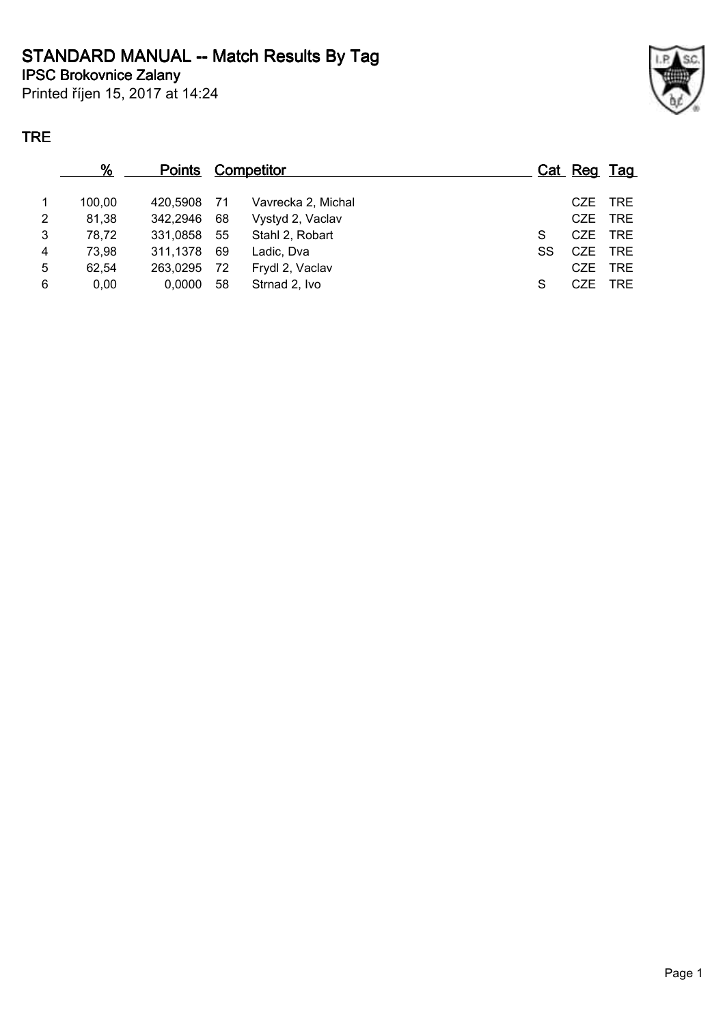# **STANDARD MANUAL -- Match Results By Tag**

**IPSC Brokovnice Zalany**

Printed říjen 15, 2017 at 14:24

### **TRE**

|                | %      | <b>Points Competitor</b> |      |                    |    | Cat Reg Tag |            |
|----------------|--------|--------------------------|------|--------------------|----|-------------|------------|
| $\mathbf{1}$   | 100.00 | 420.5908                 | - 71 | Vavrecka 2, Michal |    | CZE.        | TRE        |
| $\overline{2}$ | 81,38  | 342.2946                 | 68   | Vystyd 2, Vaclav   |    | CZE         | <b>TRE</b> |
| 3              | 78,72  | 331,0858                 | -55  | Stahl 2, Robart    | S  | CZE         | <b>TRE</b> |
| 4              | 73,98  | 311,1378                 | 69   | Ladic, Dva         | SS | CZE         | <b>TRE</b> |
| 5              | 62,54  | 263,0295                 | -72  | Frydl 2, Vaclav    |    | CZE         | <b>TRE</b> |
| 6              | 0,00   | 0,0000                   | 58   | Strnad 2, Ivo      | S  | CZE         | <b>TRE</b> |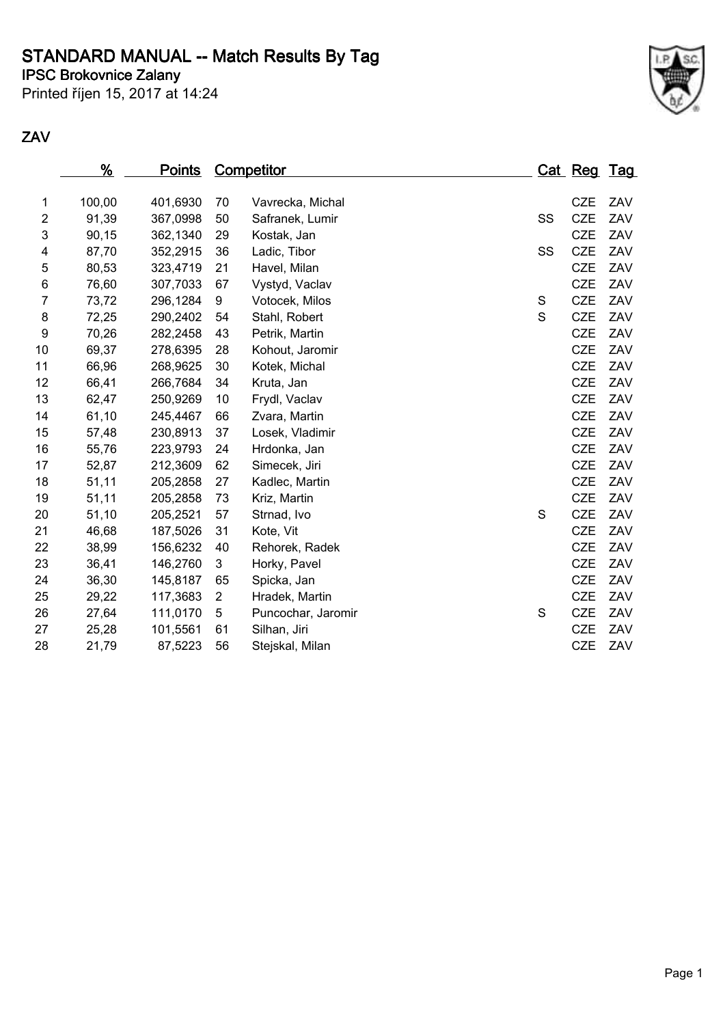## **STANDARD MANUAL -- Match Results By Tag**

**IPSC Brokovnice Zalany**

Printed říjen 15, 2017 at 14:24



|                     | %              | <u>Points</u>        |          | <b>Competitor</b>  |        | Cat Reg Tag |     |
|---------------------|----------------|----------------------|----------|--------------------|--------|-------------|-----|
|                     | 100,00         |                      |          |                    |        | <b>CZE</b>  | ZAV |
| 1<br>$\overline{c}$ | 91,39          | 401,6930             | 70       | Vavrecka, Michal   | SS     | <b>CZE</b>  | ZAV |
|                     |                | 367,0998             | 50       | Safranek, Lumir    |        | <b>CZE</b>  | ZAV |
| 3                   | 90,15          | 362,1340             | 29       | Kostak, Jan        |        | <b>CZE</b>  | ZAV |
| 4                   | 87,70<br>80,53 | 352,2915             | 36<br>21 | Ladic, Tibor       | SS     | <b>CZE</b>  | ZAV |
| 5<br>6              | 76,60          | 323,4719<br>307,7033 | 67       | Havel, Milan       |        | <b>CZE</b>  | ZAV |
| 7                   |                |                      | 9        | Vystyd, Vaclav     |        | <b>CZE</b>  | ZAV |
|                     | 73,72          | 296,1284             |          | Votocek, Milos     | S<br>S | <b>CZE</b>  | ZAV |
| 8                   | 72,25<br>70,26 | 290,2402             | 54       | Stahl, Robert      |        | <b>CZE</b>  | ZAV |
| 9                   |                | 282,2458             | 43       | Petrik, Martin     |        | <b>CZE</b>  | ZAV |
| 10                  | 69,37          | 278,6395             | 28       | Kohout, Jaromir    |        | <b>CZE</b>  | ZAV |
| 11                  | 66,96          | 268,9625             | 30       | Kotek, Michal      |        |             |     |
| 12                  | 66,41          | 266,7684             | 34       | Kruta, Jan         |        | <b>CZE</b>  | ZAV |
| 13                  | 62,47          | 250,9269             | 10       | Frydl, Vaclav      |        | <b>CZE</b>  | ZAV |
| 14                  | 61,10          | 245,4467             | 66       | Zvara, Martin      |        | <b>CZE</b>  | ZAV |
| 15                  | 57,48          | 230,8913             | 37       | Losek, Vladimir    |        | <b>CZE</b>  | ZAV |
| 16                  | 55,76          | 223,9793             | 24       | Hrdonka, Jan       |        | <b>CZE</b>  | ZAV |
| 17                  | 52,87          | 212,3609             | 62       | Simecek, Jiri      |        | <b>CZE</b>  | ZAV |
| 18                  | 51,11          | 205,2858             | 27       | Kadlec, Martin     |        | <b>CZE</b>  | ZAV |
| 19                  | 51,11          | 205,2858             | 73       | Kriz, Martin       |        | <b>CZE</b>  | ZAV |
| 20                  | 51,10          | 205,2521             | 57       | Strnad, Ivo        | S      | <b>CZE</b>  | ZAV |
| 21                  | 46,68          | 187,5026             | 31       | Kote, Vit          |        | <b>CZE</b>  | ZAV |
| 22                  | 38,99          | 156,6232             | 40       | Rehorek, Radek     |        | <b>CZE</b>  | ZAV |
| 23                  | 36,41          | 146,2760             | 3        | Horky, Pavel       |        | <b>CZE</b>  | ZAV |
| 24                  | 36,30          | 145,8187             | 65       | Spicka, Jan        |        | <b>CZE</b>  | ZAV |
| 25                  | 29,22          | 117,3683             | 2        | Hradek, Martin     |        | <b>CZE</b>  | ZAV |
| 26                  | 27,64          | 111,0170             | 5        | Puncochar, Jaromir | S      | <b>CZE</b>  | ZAV |
| 27                  | 25,28          | 101,5561             | 61       | Silhan, Jiri       |        | <b>CZE</b>  | ZAV |
| 28                  | 21,79          | 87,5223              | 56       | Stejskal, Milan    |        | <b>CZE</b>  | ZAV |